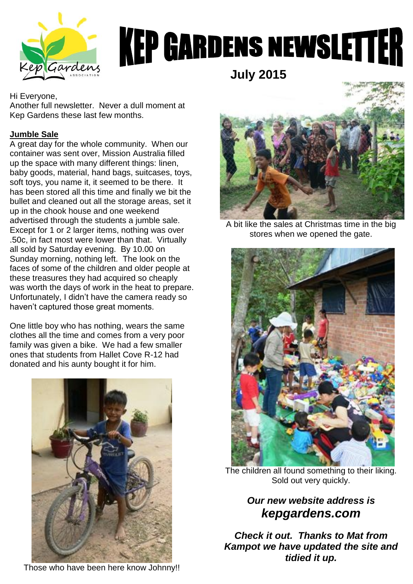

# **KEP GARDENS NEWSLETTER**

#### Hi Everyone,

Another full newsletter. Never a dull moment at Kep Gardens these last few months.

## **Jumble Sale**

A great day for the whole community. When our container was sent over, Mission Australia filled up the space with many different things: linen, baby goods, material, hand bags, suitcases, toys, soft toys, you name it, it seemed to be there. It has been stored all this time and finally we bit the bullet and cleaned out all the storage areas, set it up in the chook house and one weekend advertised through the students a jumble sale. Except for 1 or 2 larger items, nothing was over .50c, in fact most were lower than that. Virtually all sold by Saturday evening. By 10.00 on Sunday morning, nothing left. The look on the faces of some of the children and older people at these treasures they had acquired so cheaply was worth the days of work in the heat to prepare. Unfortunately, I didn't have the camera ready so haven't captured those great moments.

One little boy who has nothing, wears the same clothes all the time and comes from a very poor family was given a bike. We had a few smaller ones that students from Hallet Cove R-12 had donated and his aunty bought it for him.



Those who have been here know Johnny!!



A bit like the sales at Christmas time in the big stores when we opened the gate.



The children all found something to their liking. Sold out very quickly.

# *Our new website address is kepgardens.com*

*Check it out. Thanks to Mat from Kampot we have updated the site and tidied it up.*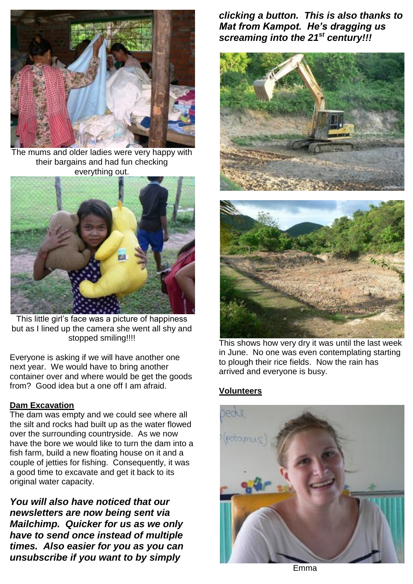

The mums and older ladies were very happy with their bargains and had fun checking everything out.



This little girl's face was a picture of happiness but as I lined up the camera she went all shy and stopped smiling!!!!

Everyone is asking if we will have another one next year. We would have to bring another container over and where would be get the goods from? Good idea but a one off I am afraid.

#### **Dam Excavation**

The dam was empty and we could see where all the silt and rocks had built up as the water flowed over the surrounding countryside. As we now have the bore we would like to turn the dam into a fish farm, build a new floating house on it and a couple of jetties for fishing. Consequently, it was a good time to excavate and get it back to its original water capacity.

*You will also have noticed that our newsletters are now being sent via Mailchimp. Quicker for us as we only have to send once instead of multiple times. Also easier for you as you can unsubscribe if you want to by simply*

*clicking a button. This is also thanks to Mat from Kampot. He's dragging us screaming into the 21st century!!!*





This shows how very dry it was until the last week in June. No one was even contemplating starting to plough their rice fields. Now the rain has arrived and everyone is busy.

#### **Volunteers**



Emma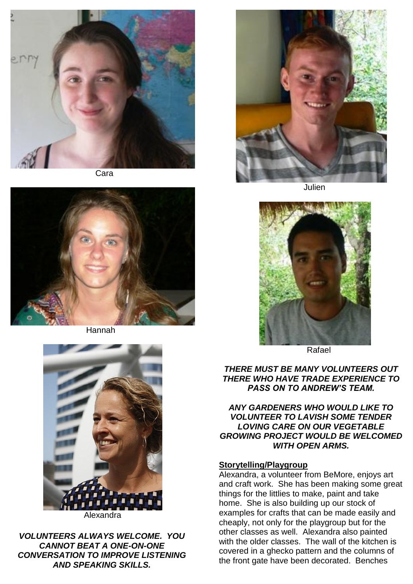

Cara



Hannah



*VOLUNTEERS ALWAYS WELCOME. YOU CANNOT BEAT A ONE-ON-ONE CONVERSATION TO IMPROVE LISTENING AND SPEAKING SKILLS.*



Julien



Rafael

*THERE MUST BE MANY VOLUNTEERS OUT THERE WHO HAVE TRADE EXPERIENCE TO PASS ON TO ANDREW'S TEAM.* 

*ANY GARDENERS WHO WOULD LIKE TO VOLUNTEER TO LAVISH SOME TENDER LOVING CARE ON OUR VEGETABLE GROWING PROJECT WOULD BE WELCOMED WITH OPEN ARMS.* 

#### **Storytelling/Playgroup**

Alexandra, a volunteer from BeMore, enjoys art and craft work. She has been making some great things for the littlies to make, paint and take home. She is also building up our stock of examples for crafts that can be made easily and cheaply, not only for the playgroup but for the other classes as well. Alexandra also painted with the older classes. The wall of the kitchen is covered in a ghecko pattern and the columns of the front gate have been decorated. Benches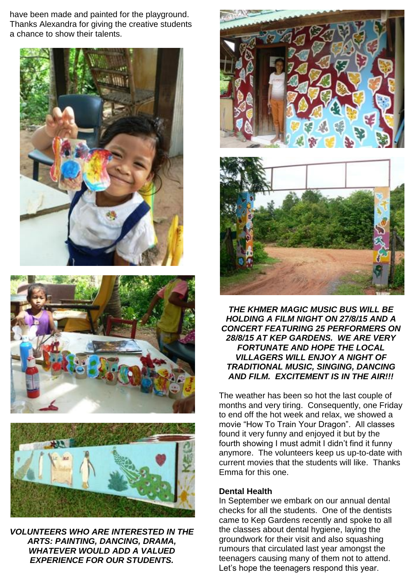have been made and painted for the playground. Thanks Alexandra for giving the creative students a chance to show their talents.







*VOLUNTEERS WHO ARE INTERESTED IN THE ARTS: PAINTING, DANCING, DRAMA, WHATEVER WOULD ADD A VALUED EXPERIENCE FOR OUR STUDENTS.*





*THE KHMER MAGIC MUSIC BUS WILL BE HOLDING A FILM NIGHT ON 27/8/15 AND A CONCERT FEATURING 25 PERFORMERS ON 28/8/15 AT KEP GARDENS. WE ARE VERY FORTUNATE AND HOPE THE LOCAL VILLAGERS WILL ENJOY A NIGHT OF TRADITIONAL MUSIC, SINGING, DANCING AND FILM. EXCITEMENT IS IN THE AIR!!!*

The weather has been so hot the last couple of months and very tiring. Consequently, one Friday to end off the hot week and relax, we showed a movie "How To Train Your Dragon". All classes found it very funny and enjoyed it but by the fourth showing I must admit I didn't find it funny anymore. The volunteers keep us up-to-date with current movies that the students will like. Thanks Emma for this one.

#### **Dental Health**

In September we embark on our annual dental checks for all the students. One of the dentists came to Kep Gardens recently and spoke to all the classes about dental hygiene, laying the groundwork for their visit and also squashing rumours that circulated last year amongst the teenagers causing many of them not to attend. Let's hope the teenagers respond this year.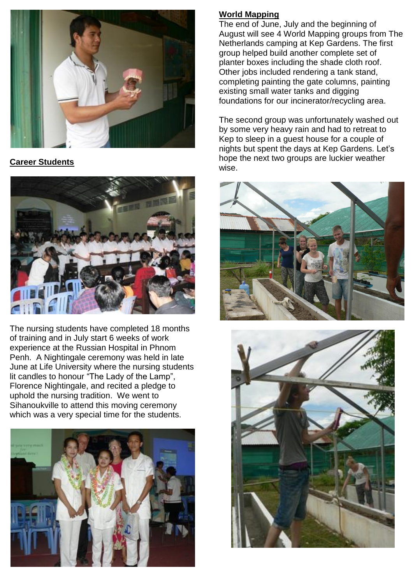

# **Career Students**



The nursing students have completed 18 months of training and in July start 6 weeks of work experience at the Russian Hospital in Phnom Penh. A Nightingale ceremony was held in late June at Life University where the nursing students lit candles to honour "The Lady of the Lamp", Florence Nightingale, and recited a pledge to uphold the nursing tradition. We went to Sihanoukville to attend this moving ceremony which was a very special time for the students.



#### **World Mapping**

The end of June, July and the beginning of August will see 4 World Mapping groups from The Netherlands camping at Kep Gardens. The first group helped build another complete set of planter boxes including the shade cloth roof. Other jobs included rendering a tank stand, completing painting the gate columns, painting existing small water tanks and digging foundations for our incinerator/recycling area.

The second group was unfortunately washed out by some very heavy rain and had to retreat to Kep to sleep in a guest house for a couple of nights but spent the days at Kep Gardens. Let's hope the next two groups are luckier weather wise.